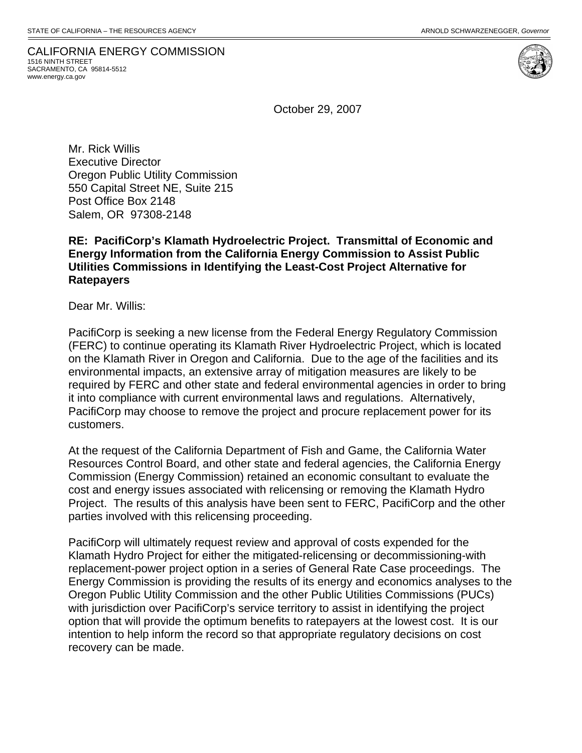CALIFORNIA ENERGY COMMISSION 1516 NINTH STREET SACRAMENTO, CA 95814-5512 www.energy.ca.gov

October 29, 2007

Mr. Rick Willis Executive Director Oregon Public Utility Commission 550 Capital Street NE, Suite 215 Post Office Box 2148 Salem, OR 97308-2148

#### **RE: PacifiCorp's Klamath Hydroelectric Project. Transmittal of Economic and Energy Information from the California Energy Commission to Assist Public Utilities Commissions in Identifying the Least-Cost Project Alternative for Ratepayers**

Dear Mr. Willis:

PacifiCorp is seeking a new license from the Federal Energy Regulatory Commission (FERC) to continue operating its Klamath River Hydroelectric Project, which is located on the Klamath River in Oregon and California. Due to the age of the facilities and its environmental impacts, an extensive array of mitigation measures are likely to be required by FERC and other state and federal environmental agencies in order to bring it into compliance with current environmental laws and regulations. Alternatively, PacifiCorp may choose to remove the project and procure replacement power for its customers.

At the request of the California Department of Fish and Game, the California Water Resources Control Board, and other state and federal agencies, the California Energy Commission (Energy Commission) retained an economic consultant to evaluate the cost and energy issues associated with relicensing or removing the Klamath Hydro Project. The results of this analysis have been sent to FERC, PacifiCorp and the other parties involved with this relicensing proceeding.

PacifiCorp will ultimately request review and approval of costs expended for the Klamath Hydro Project for either the mitigated-relicensing or decommissioning-with replacement-power project option in a series of General Rate Case proceedings. The Energy Commission is providing the results of its energy and economics analyses to the Oregon Public Utility Commission and the other Public Utilities Commissions (PUCs) with jurisdiction over PacifiCorp's service territory to assist in identifying the project option that will provide the optimum benefits to ratepayers at the lowest cost. It is our intention to help inform the record so that appropriate regulatory decisions on cost recovery can be made.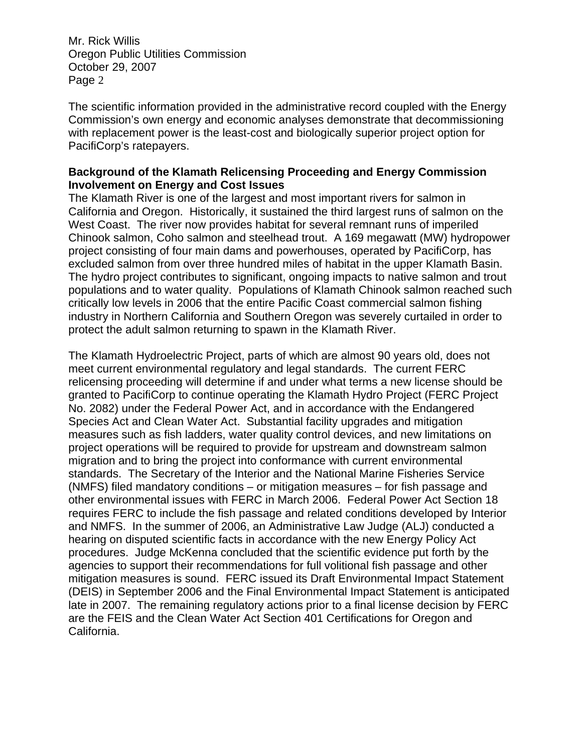The scientific information provided in the administrative record coupled with the Energy Commission's own energy and economic analyses demonstrate that decommissioning with replacement power is the least-cost and biologically superior project option for PacifiCorp's ratepayers.

### **Background of the Klamath Relicensing Proceeding and Energy Commission Involvement on Energy and Cost Issues**

The Klamath River is one of the largest and most important rivers for salmon in California and Oregon. Historically, it sustained the third largest runs of salmon on the West Coast. The river now provides habitat for several remnant runs of imperiled Chinook salmon, Coho salmon and steelhead trout. A 169 megawatt (MW) hydropower project consisting of four main dams and powerhouses, operated by PacifiCorp, has excluded salmon from over three hundred miles of habitat in the upper Klamath Basin. The hydro project contributes to significant, ongoing impacts to native salmon and trout populations and to water quality. Populations of Klamath Chinook salmon reached such critically low levels in 2006 that the entire Pacific Coast commercial salmon fishing industry in Northern California and Southern Oregon was severely curtailed in order to protect the adult salmon returning to spawn in the Klamath River.

The Klamath Hydroelectric Project, parts of which are almost 90 years old, does not meet current environmental regulatory and legal standards. The current FERC relicensing proceeding will determine if and under what terms a new license should be granted to PacifiCorp to continue operating the Klamath Hydro Project (FERC Project No. 2082) under the Federal Power Act, and in accordance with the Endangered Species Act and Clean Water Act. Substantial facility upgrades and mitigation measures such as fish ladders, water quality control devices, and new limitations on project operations will be required to provide for upstream and downstream salmon migration and to bring the project into conformance with current environmental standards. The Secretary of the Interior and the National Marine Fisheries Service (NMFS) filed mandatory conditions – or mitigation measures – for fish passage and other environmental issues with FERC in March 2006. Federal Power Act Section 18 requires FERC to include the fish passage and related conditions developed by Interior and NMFS. In the summer of 2006, an Administrative Law Judge (ALJ) conducted a hearing on disputed scientific facts in accordance with the new Energy Policy Act procedures. Judge McKenna concluded that the scientific evidence put forth by the agencies to support their recommendations for full volitional fish passage and other mitigation measures is sound. FERC issued its Draft Environmental Impact Statement (DEIS) in September 2006 and the Final Environmental Impact Statement is anticipated late in 2007. The remaining regulatory actions prior to a final license decision by FERC are the FEIS and the Clean Water Act Section 401 Certifications for Oregon and California.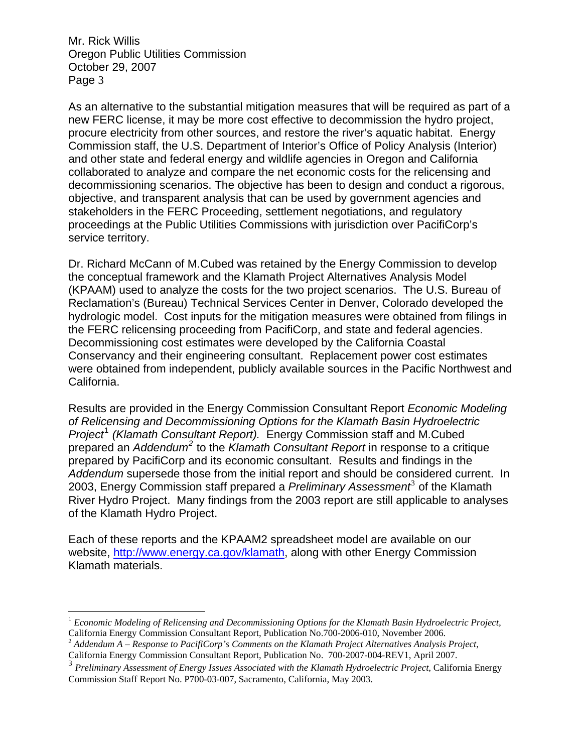$\overline{a}$ 

As an alternative to the substantial mitigation measures that will be required as part of a new FERC license, it may be more cost effective to decommission the hydro project, procure electricity from other sources, and restore the river's aquatic habitat. Energy Commission staff, the U.S. Department of Interior's Office of Policy Analysis (Interior) and other state and federal energy and wildlife agencies in Oregon and California collaborated to analyze and compare the net economic costs for the relicensing and decommissioning scenarios. The objective has been to design and conduct a rigorous, objective, and transparent analysis that can be used by government agencies and stakeholders in the FERC Proceeding, settlement negotiations, and regulatory proceedings at the Public Utilities Commissions with jurisdiction over PacifiCorp's service territory.

Dr. Richard McCann of M.Cubed was retained by the Energy Commission to develop the conceptual framework and the Klamath Project Alternatives Analysis Model (KPAAM) used to analyze the costs for the two project scenarios. The U.S. Bureau of Reclamation's (Bureau) Technical Services Center in Denver, Colorado developed the hydrologic model. Cost inputs for the mitigation measures were obtained from filings in the FERC relicensing proceeding from PacifiCorp, and state and federal agencies. Decommissioning cost estimates were developed by the California Coastal Conservancy and their engineering consultant. Replacement power cost estimates were obtained from independent, publicly available sources in the Pacific Northwest and California.

Results are provided in the Energy Commission Consultant Report *Economic Modeling of Relicensing and Decommissioning Options for the Klamath Basin Hydroelectric*  Project<sup>[1](#page-2-0)</sup> (Klamath Consultant Report). Energy Commission staff and M.Cubed prepared an *Addendum<sup>[2](#page-2-1)</sup>* to the *Klamath Consultant Report* in response to a critique prepared by PacifiCorp and its economic consultant. Results and findings in the *Addendum* supersede those from the initial report and should be considered current. In 200[3](#page-2-2), Energy Commission staff prepared a *Preliminary Assessment*<sup>3</sup> of the Klamath River Hydro Project. Many findings from the 2003 report are still applicable to analyses of the Klamath Hydro Project.

Each of these reports and the KPAAM2 spreadsheet model are available on our website, http://www.energy.ca.gov/klamath, along with other Energy Commission Klamath materials.

<span id="page-2-0"></span><sup>1</sup> *Economic Modeling of Relicensing and Decommissioning Options for the Klamath Basin Hydroelectric Project,*  California Energy Commission Consultant Report, Publication No.700-2006-010, November 2006.

<span id="page-2-1"></span><sup>2</sup> *Addendum A – Response to PacifiCorp's Comments on the Klamath Project Alternatives Analysis Project*, California Energy Commission Consultant Report, Publication No. 700-2007-004-REV1, April 2007.

<span id="page-2-2"></span><sup>3</sup> *Preliminary Assessment of Energy Issues Associated with the Klamath Hydroelectric Project*, California Energy Commission Staff Report No. P700-03-007, Sacramento, California, May 2003.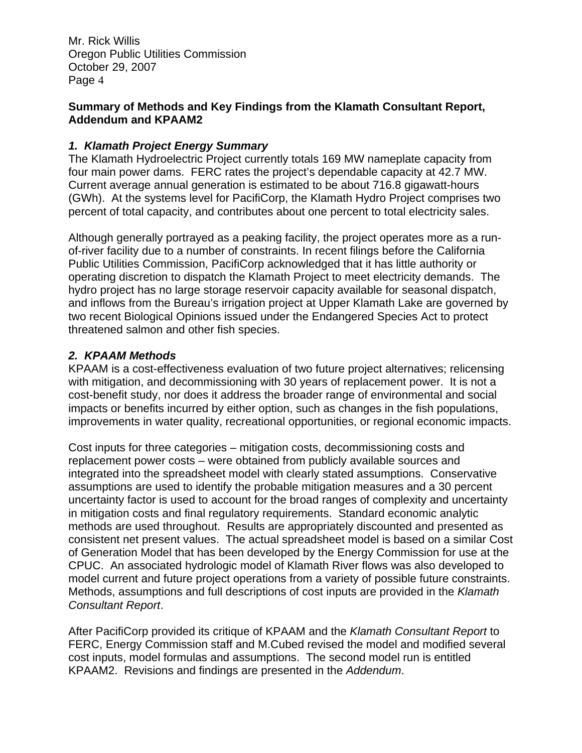### **Summary of Methods and Key Findings from the Klamath Consultant Report, Addendum and KPAAM2**

# *1. Klamath Project Energy Summary*

The Klamath Hydroelectric Project currently totals 169 MW nameplate capacity from four main power dams. FERC rates the project's dependable capacity at 42.7 MW. Current average annual generation is estimated to be about 716.8 gigawatt-hours (GWh). At the systems level for PacifiCorp, the Klamath Hydro Project comprises two percent of total capacity, and contributes about one percent to total electricity sales.

Although generally portrayed as a peaking facility, the project operates more as a runof-river facility due to a number of constraints. In recent filings before the California Public Utilities Commission, PacifiCorp acknowledged that it has little authority or operating discretion to dispatch the Klamath Project to meet electricity demands. The hydro project has no large storage reservoir capacity available for seasonal dispatch, and inflows from the Bureau's irrigation project at Upper Klamath Lake are governed by two recent Biological Opinions issued under the Endangered Species Act to protect threatened salmon and other fish species.

# *2. KPAAM Methods*

KPAAM is a cost-effectiveness evaluation of two future project alternatives; relicensing with mitigation, and decommissioning with 30 years of replacement power. It is not a cost-benefit study, nor does it address the broader range of environmental and social impacts or benefits incurred by either option, such as changes in the fish populations, improvements in water quality, recreational opportunities, or regional economic impacts.

Cost inputs for three categories – mitigation costs, decommissioning costs and replacement power costs – were obtained from publicly available sources and integrated into the spreadsheet model with clearly stated assumptions. Conservative assumptions are used to identify the probable mitigation measures and a 30 percent uncertainty factor is used to account for the broad ranges of complexity and uncertainty in mitigation costs and final regulatory requirements. Standard economic analytic methods are used throughout. Results are appropriately discounted and presented as consistent net present values. The actual spreadsheet model is based on a similar Cost of Generation Model that has been developed by the Energy Commission for use at the CPUC. An associated hydrologic model of Klamath River flows was also developed to model current and future project operations from a variety of possible future constraints. Methods, assumptions and full descriptions of cost inputs are provided in the *Klamath Consultant Report*.

After PacifiCorp provided its critique of KPAAM and the *Klamath Consultant Report* to FERC, Energy Commission staff and M.Cubed revised the model and modified several cost inputs, model formulas and assumptions. The second model run is entitled KPAAM2. Revisions and findings are presented in the *Addendum*.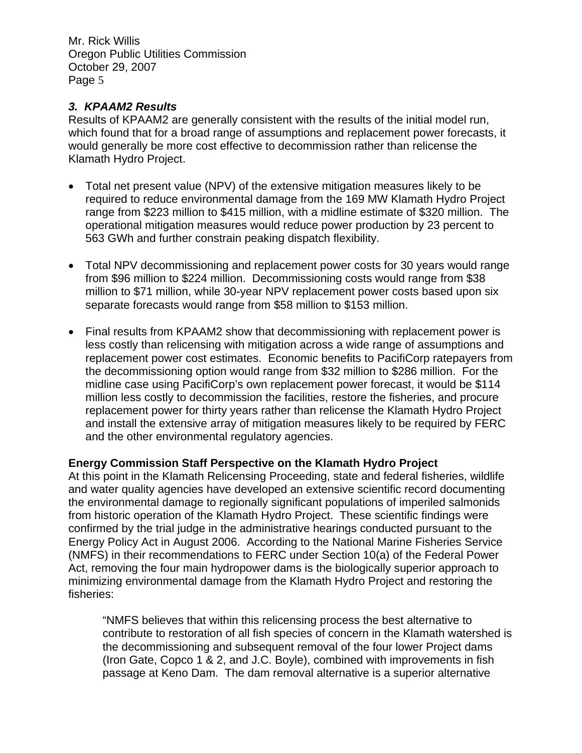# *3. KPAAM2 Results*

Results of KPAAM2 are generally consistent with the results of the initial model run, which found that for a broad range of assumptions and replacement power forecasts, it would generally be more cost effective to decommission rather than relicense the Klamath Hydro Project.

- Total net present value (NPV) of the extensive mitigation measures likely to be required to reduce environmental damage from the 169 MW Klamath Hydro Project range from \$223 million to \$415 million, with a midline estimate of \$320 million. The operational mitigation measures would reduce power production by 23 percent to 563 GWh and further constrain peaking dispatch flexibility.
- Total NPV decommissioning and replacement power costs for 30 years would range from \$96 million to \$224 million. Decommissioning costs would range from \$38 million to \$71 million, while 30-year NPV replacement power costs based upon six separate forecasts would range from \$58 million to \$153 million.
- Final results from KPAAM2 show that decommissioning with replacement power is less costly than relicensing with mitigation across a wide range of assumptions and replacement power cost estimates. Economic benefits to PacifiCorp ratepayers from the decommissioning option would range from \$32 million to \$286 million. For the midline case using PacifiCorp's own replacement power forecast, it would be \$114 million less costly to decommission the facilities, restore the fisheries, and procure replacement power for thirty years rather than relicense the Klamath Hydro Project and install the extensive array of mitigation measures likely to be required by FERC and the other environmental regulatory agencies.

### **Energy Commission Staff Perspective on the Klamath Hydro Project**

At this point in the Klamath Relicensing Proceeding, state and federal fisheries, wildlife and water quality agencies have developed an extensive scientific record documenting the environmental damage to regionally significant populations of imperiled salmonids from historic operation of the Klamath Hydro Project. These scientific findings were confirmed by the trial judge in the administrative hearings conducted pursuant to the Energy Policy Act in August 2006. According to the National Marine Fisheries Service (NMFS) in their recommendations to FERC under Section 10(a) of the Federal Power Act, removing the four main hydropower dams is the biologically superior approach to minimizing environmental damage from the Klamath Hydro Project and restoring the fisheries:

"NMFS believes that within this relicensing process the best alternative to contribute to restoration of all fish species of concern in the Klamath watershed is the decommissioning and subsequent removal of the four lower Project dams (Iron Gate, Copco 1 & 2, and J.C. Boyle), combined with improvements in fish passage at Keno Dam. The dam removal alternative is a superior alternative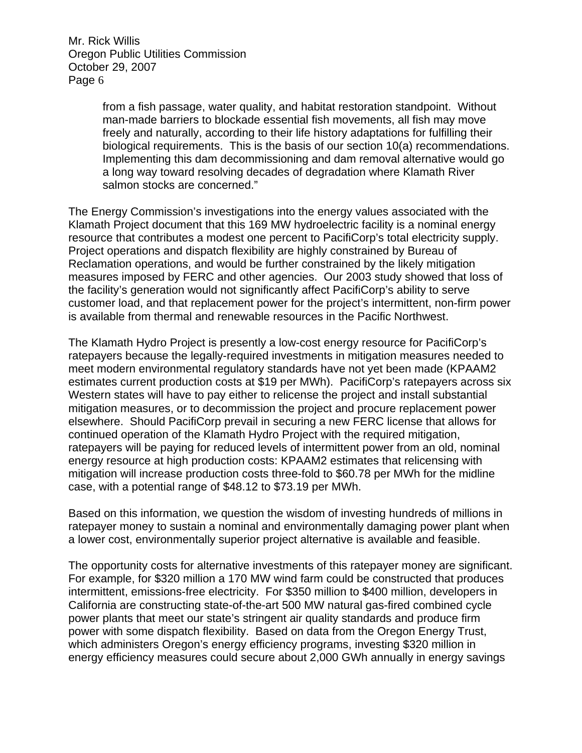> from a fish passage, water quality, and habitat restoration standpoint. Without man-made barriers to blockade essential fish movements, all fish may move freely and naturally, according to their life history adaptations for fulfilling their biological requirements. This is the basis of our section 10(a) recommendations. Implementing this dam decommissioning and dam removal alternative would go a long way toward resolving decades of degradation where Klamath River salmon stocks are concerned."

The Energy Commission's investigations into the energy values associated with the Klamath Project document that this 169 MW hydroelectric facility is a nominal energy resource that contributes a modest one percent to PacifiCorp's total electricity supply. Project operations and dispatch flexibility are highly constrained by Bureau of Reclamation operations, and would be further constrained by the likely mitigation measures imposed by FERC and other agencies. Our 2003 study showed that loss of the facility's generation would not significantly affect PacifiCorp's ability to serve customer load, and that replacement power for the project's intermittent, non-firm power is available from thermal and renewable resources in the Pacific Northwest.

The Klamath Hydro Project is presently a low-cost energy resource for PacifiCorp's ratepayers because the legally-required investments in mitigation measures needed to meet modern environmental regulatory standards have not yet been made (KPAAM2 estimates current production costs at \$19 per MWh). PacifiCorp's ratepayers across six Western states will have to pay either to relicense the project and install substantial mitigation measures, or to decommission the project and procure replacement power elsewhere. Should PacifiCorp prevail in securing a new FERC license that allows for continued operation of the Klamath Hydro Project with the required mitigation, ratepayers will be paying for reduced levels of intermittent power from an old, nominal energy resource at high production costs: KPAAM2 estimates that relicensing with mitigation will increase production costs three-fold to \$60.78 per MWh for the midline case, with a potential range of \$48.12 to \$73.19 per MWh.

Based on this information, we question the wisdom of investing hundreds of millions in ratepayer money to sustain a nominal and environmentally damaging power plant when a lower cost, environmentally superior project alternative is available and feasible.

The opportunity costs for alternative investments of this ratepayer money are significant. For example, for \$320 million a 170 MW wind farm could be constructed that produces intermittent, emissions-free electricity. For \$350 million to \$400 million, developers in California are constructing state-of-the-art 500 MW natural gas-fired combined cycle power plants that meet our state's stringent air quality standards and produce firm power with some dispatch flexibility. Based on data from the Oregon Energy Trust, which administers Oregon's energy efficiency programs, investing \$320 million in energy efficiency measures could secure about 2,000 GWh annually in energy savings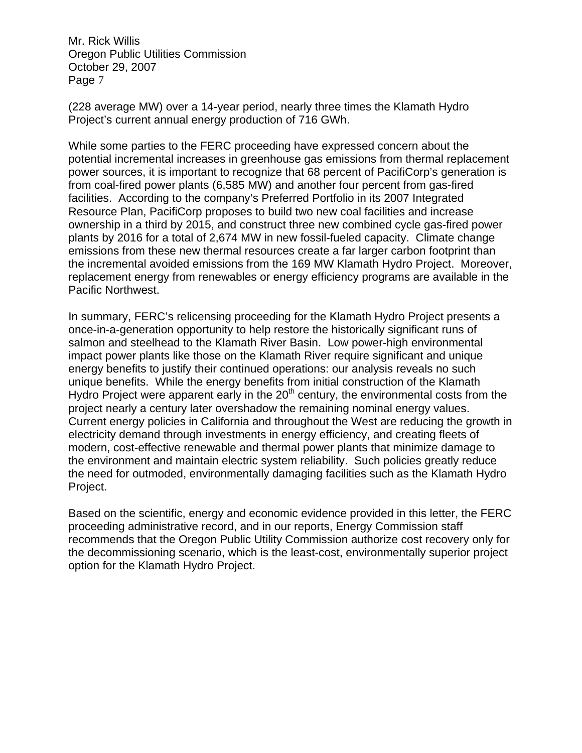(228 average MW) over a 14-year period, nearly three times the Klamath Hydro Project's current annual energy production of 716 GWh.

While some parties to the FERC proceeding have expressed concern about the potential incremental increases in greenhouse gas emissions from thermal replacement power sources, it is important to recognize that 68 percent of PacifiCorp's generation is from coal-fired power plants (6,585 MW) and another four percent from gas-fired facilities. According to the company's Preferred Portfolio in its 2007 Integrated Resource Plan, PacifiCorp proposes to build two new coal facilities and increase ownership in a third by 2015, and construct three new combined cycle gas-fired power plants by 2016 for a total of 2,674 MW in new fossil-fueled capacity. Climate change emissions from these new thermal resources create a far larger carbon footprint than the incremental avoided emissions from the 169 MW Klamath Hydro Project. Moreover, replacement energy from renewables or energy efficiency programs are available in the Pacific Northwest.

In summary, FERC's relicensing proceeding for the Klamath Hydro Project presents a once-in-a-generation opportunity to help restore the historically significant runs of salmon and steelhead to the Klamath River Basin. Low power-high environmental impact power plants like those on the Klamath River require significant and unique energy benefits to justify their continued operations: our analysis reveals no such unique benefits. While the energy benefits from initial construction of the Klamath Hydro Project were apparent early in the  $20<sup>th</sup>$  century, the environmental costs from the project nearly a century later overshadow the remaining nominal energy values. Current energy policies in California and throughout the West are reducing the growth in electricity demand through investments in energy efficiency, and creating fleets of modern, cost-effective renewable and thermal power plants that minimize damage to the environment and maintain electric system reliability. Such policies greatly reduce the need for outmoded, environmentally damaging facilities such as the Klamath Hydro Project.

Based on the scientific, energy and economic evidence provided in this letter, the FERC proceeding administrative record, and in our reports, Energy Commission staff recommends that the Oregon Public Utility Commission authorize cost recovery only for the decommissioning scenario, which is the least-cost, environmentally superior project option for the Klamath Hydro Project.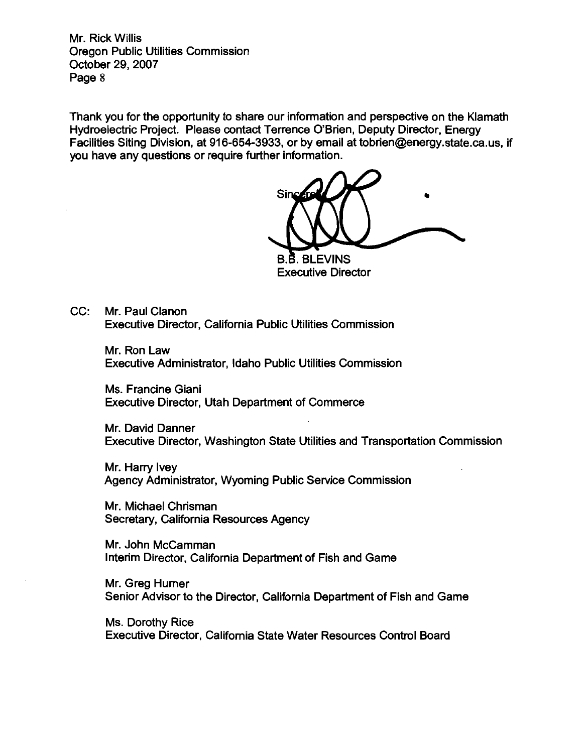Thank you for the opportunity to share our information and perspective on the Klamath Hydroelectric Project. Please contact Terrence O'Brien, Deputy Director, Energy Facilities Siting Division, at 916-654-3933, or by email at tobrien@energy.state.ca.us, if you have any questions or require further information.

Sin **B.B. BLEVINS** 

**Executive Director** 

 $CC:$ Mr. Paul Clanon **Executive Director, California Public Utilities Commission** 

> Mr. Ron Law Executive Administrator, Idaho Public Utilities Commission

Ms. Francine Giani **Executive Director, Utah Department of Commerce** 

Mr. David Danner Executive Director, Washington State Utilities and Transportation Commission

Mr. Harry Ivey Agency Administrator, Wyoming Public Service Commission

Mr. Michael Chrisman Secretary, California Resources Agency

Mr. John McCamman Interim Director, California Department of Fish and Game

Mr. Greg Hurner Senior Advisor to the Director, California Department of Fish and Game

Ms. Dorothy Rice Executive Director, California State Water Resources Control Board